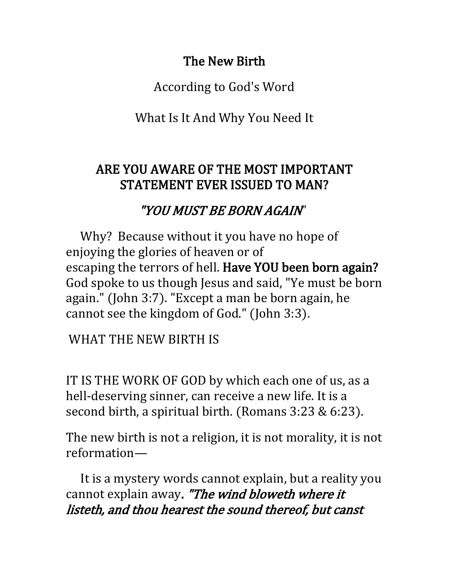## The New Birth

According to God's Word

What Is It And Why You Need It

## ARE YOU AWARE OF THE MOST IMPORTANT STATEMENT EVER ISSUED TO MAN?

## "YOU MUST BE BORN AGAIN"

 Why? Because without it you have no hope of enjoying the glories of heaven or of escaping the terrors of hell. Have YOU been born again? God spoke to us though Jesus and said, "Ye must be born again." (John 3:7). "Except a man be born again, he cannot see the kingdom of God." (John 3:3).

WHAT THE NEW BIRTH IS

IT IS THE WORK OF GOD by which each one of us, as a hell-deserving sinner, can receive a new life. It is a second birth, a spiritual birth. (Romans 3:23 & 6:23).

The new birth is not a religion, it is not morality, it is not reformation—

 It is a mystery words cannot explain, but a reality you cannot explain away. "The wind bloweth where it listeth, and thou hearest the sound thereof, but canst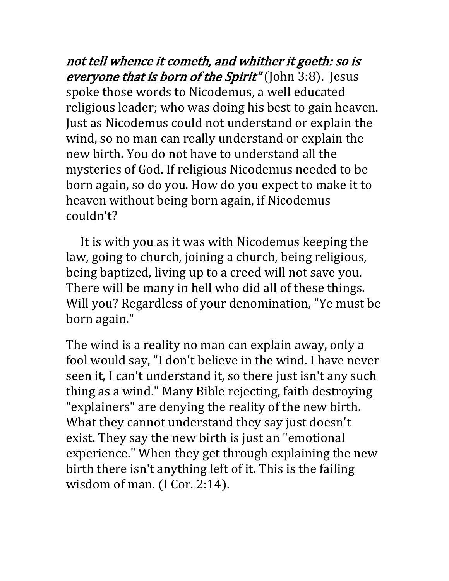not tell whence it cometh, and whither it goeth: so is everyone that is born of the Spirit" (John 3:8). Jesus spoke those words to Nicodemus, a well educated religious leader; who was doing his best to gain heaven. Just as Nicodemus could not understand or explain the wind, so no man can really understand or explain the new birth. You do not have to understand all the mysteries of God. If religious Nicodemus needed to be born again, so do you. How do you expect to make it to heaven without being born again, if Nicodemus couldn't?

 It is with you as it was with Nicodemus keeping the law, going to church, joining a church, being religious, being baptized, living up to a creed will not save you. There will be many in hell who did all of these things. Will you? Regardless of your denomination, "Ye must be born again."

The wind is a reality no man can explain away, only a fool would say, "I don't believe in the wind. I have never seen it, I can't understand it, so there just isn't any such thing as a wind." Many Bible rejecting, faith destroying "explainers" are denying the reality of the new birth. What they cannot understand they say just doesn't exist. They say the new birth is just an "emotional experience." When they get through explaining the new birth there isn't anything left of it. This is the failing wisdom of man. (I Cor. 2:14).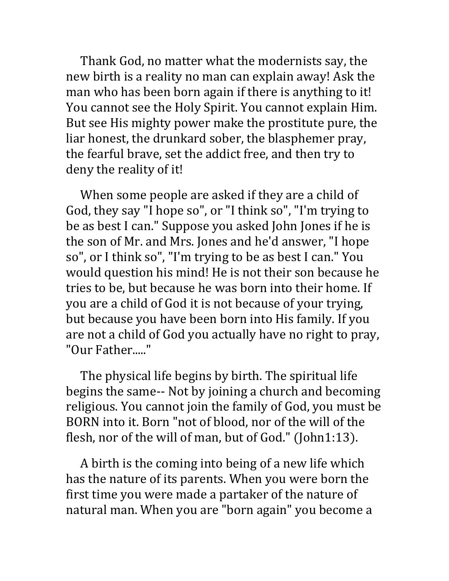Thank God, no matter what the modernists say, the new birth is a reality no man can explain away! Ask the man who has been born again if there is anything to it! You cannot see the Holy Spirit. You cannot explain Him. But see His mighty power make the prostitute pure, the liar honest, the drunkard sober, the blasphemer pray, the fearful brave, set the addict free, and then try to deny the reality of it!

 When some people are asked if they are a child of God, they say "I hope so", or "I think so", "I'm trying to be as best I can." Suppose you asked John Jones if he is the son of Mr. and Mrs. Jones and he'd answer, "I hope so", or I think so", "I'm trying to be as best I can." You would question his mind! He is not their son because he tries to be, but because he was born into their home. If you are a child of God it is not because of your trying, but because you have been born into His family. If you are not a child of God you actually have no right to pray, "Our Father....."

 The physical life begins by birth. The spiritual life begins the same-- Not by joining a church and becoming religious. You cannot join the family of God, you must be BORN into it. Born "not of blood, nor of the will of the flesh, nor of the will of man, but of God." (John1:13).

 A birth is the coming into being of a new life which has the nature of its parents. When you were born the first time you were made a partaker of the nature of natural man. When you are "born again" you become a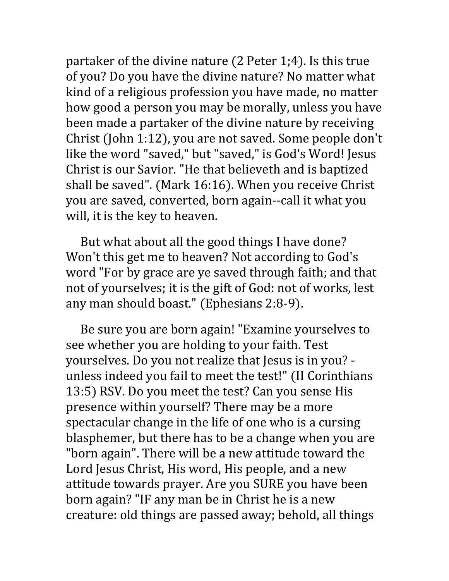partaker of the divine nature (2 Peter 1;4). Is this true of you? Do you have the divine nature? No matter what kind of a religious profession you have made, no matter how good a person you may be morally, unless you have been made a partaker of the divine nature by receiving Christ (John 1:12), you are not saved. Some people don't like the word "saved," but "saved," is God's Word! Jesus Christ is our Savior. "He that believeth and is baptized shall be saved". (Mark 16:16). When you receive Christ you are saved, converted, born again--call it what you will, it is the key to heaven.

 But what about all the good things I have done? Won't this get me to heaven? Not according to God's word "For by grace are ye saved through faith; and that not of yourselves; it is the gift of God: not of works, lest any man should boast." (Ephesians 2:8-9).

 Be sure you are born again! "Examine yourselves to see whether you are holding to your faith. Test yourselves. Do you not realize that Jesus is in you? unless indeed you fail to meet the test!" (II Corinthians 13:5) RSV. Do you meet the test? Can you sense His presence within yourself? There may be a more spectacular change in the life of one who is a cursing blasphemer, but there has to be a change when you are "born again". There will be a new attitude toward the Lord Jesus Christ, His word, His people, and a new attitude towards prayer. Are you SURE you have been born again? "IF any man be in Christ he is a new creature: old things are passed away; behold, all things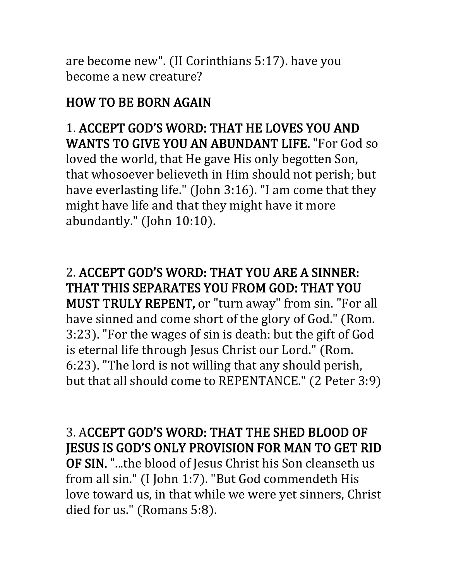are become new". (II Corinthians 5:17). have you become a new creature?

# HOW TO BE BORN AGAIN

1. ACCEPT GOD'S WORD: THAT HE LOVES YOU AND WANTS TO GIVE YOU AN ABUNDANT LIFE. "For God so loved the world, that He gave His only begotten Son, that whosoever believeth in Him should not perish; but have everlasting life." (John 3:16). "I am come that they might have life and that they might have it more abundantly." (John 10:10).

2. ACCEPT GOD'S WORD: THAT YOU ARE A SINNER: THAT THIS SEPARATES YOU FROM GOD: THAT YOU MUST TRULY REPENT, or "turn away" from sin. "For all have sinned and come short of the glory of God." (Rom. 3:23). "For the wages of sin is death: but the gift of God is eternal life through Jesus Christ our Lord." (Rom. 6:23). "The lord is not willing that any should perish, but that all should come to REPENTANCE." (2 Peter 3:9)

3. ACCEPT GOD'S WORD: THAT THE SHED BLOOD OF JESUS IS GOD'S ONLY PROVISION FOR MAN TO GET RID

OF SIN. "...the blood of Jesus Christ his Son cleanseth us from all sin." (I John 1:7). "But God commendeth His love toward us, in that while we were yet sinners, Christ died for us." (Romans 5:8).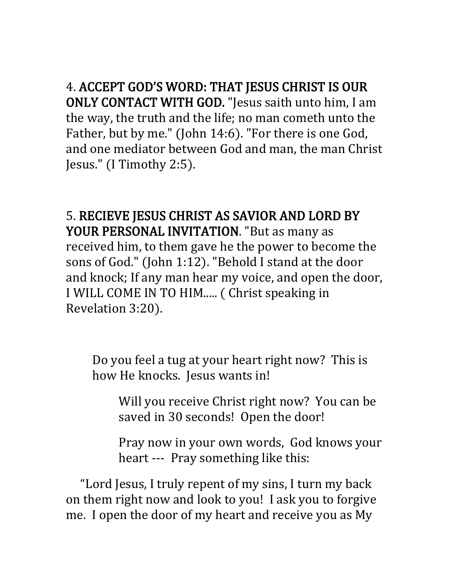4. ACCEPT GOD'S WORD: THAT JESUS CHRIST IS OUR ONLY CONTACT WITH GOD. "Jesus saith unto him, I am the way, the truth and the life; no man cometh unto the Father, but by me." (John 14:6). "For there is one God, and one mediator between God and man, the man Christ Jesus." (I Timothy 2:5).

5. RECIEVE JESUS CHRIST AS SAVIOR AND LORD BY YOUR PERSONAL INVITATION. "But as many as received him, to them gave he the power to become the sons of God." (John 1:12). "Behold I stand at the door and knock; If any man hear my voice, and open the door, I WILL COME IN TO HIM..... ( Christ speaking in Revelation 3:20).

Do you feel a tug at your heart right now? This is how He knocks. Jesus wants in!

Will you receive Christ right now? You can be saved in 30 seconds! Open the door!

Pray now in your own words, God knows your heart --- Pray something like this:

 "Lord Jesus, I truly repent of my sins, I turn my back on them right now and look to you! I ask you to forgive me. I open the door of my heart and receive you as My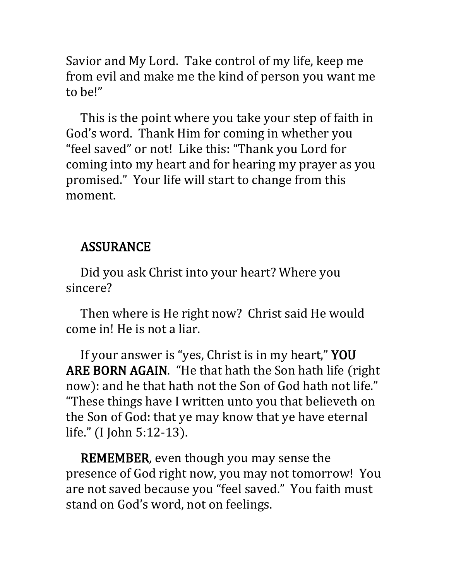Savior and My Lord. Take control of my life, keep me from evil and make me the kind of person you want me to be!"

 This is the point where you take your step of faith in God's word. Thank Him for coming in whether you "feel saved" or not! Like this: "Thank you Lord for coming into my heart and for hearing my prayer as you promised." Your life will start to change from this moment.

#### ASSURANCE

 Did you ask Christ into your heart? Where you sincere?

 Then where is He right now? Christ said He would come in! He is not a liar.

 If your answer is "yes, Christ is in my heart," YOU ARE BORN AGAIN. "He that hath the Son hath life (right now): and he that hath not the Son of God hath not life." "These things have I written unto you that believeth on the Son of God: that ye may know that ye have eternal life." (I John 5:12-13).

 REMEMBER, even though you may sense the presence of God right now, you may not tomorrow! You are not saved because you "feel saved." You faith must stand on God's word, not on feelings.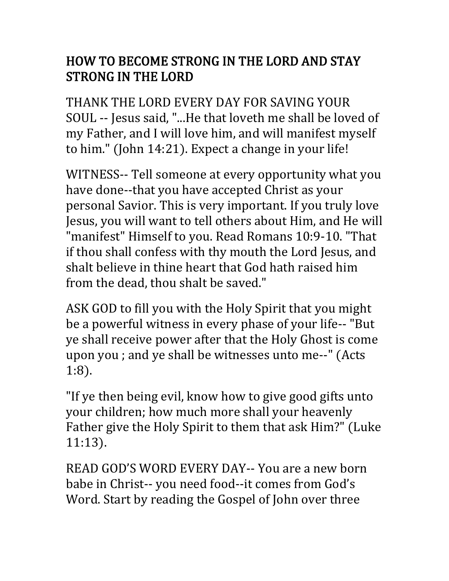## HOW TO BECOME STRONG IN THE LORD AND STAY STRONG IN THE LORD

THANK THE LORD EVERY DAY FOR SAVING YOUR SOUL -- Jesus said, "...He that loveth me shall be loved of my Father, and I will love him, and will manifest myself to him." (John 14:21). Expect a change in your life!

WITNESS-- Tell someone at every opportunity what you have done--that you have accepted Christ as your personal Savior. This is very important. If you truly love Jesus, you will want to tell others about Him, and He will "manifest" Himself to you. Read Romans 10:9-10. "That if thou shall confess with thy mouth the Lord Jesus, and shalt believe in thine heart that God hath raised him from the dead, thou shalt be saved."

ASK GOD to fill you with the Holy Spirit that you might be a powerful witness in every phase of your life-- "But ye shall receive power after that the Holy Ghost is come upon you ; and ye shall be witnesses unto me--" (Acts 1:8).

"If ye then being evil, know how to give good gifts unto your children; how much more shall your heavenly Father give the Holy Spirit to them that ask Him?" (Luke 11:13).

READ GOD'S WORD EVERY DAY-- You are a new born babe in Christ-- you need food--it comes from God's Word. Start by reading the Gospel of John over three